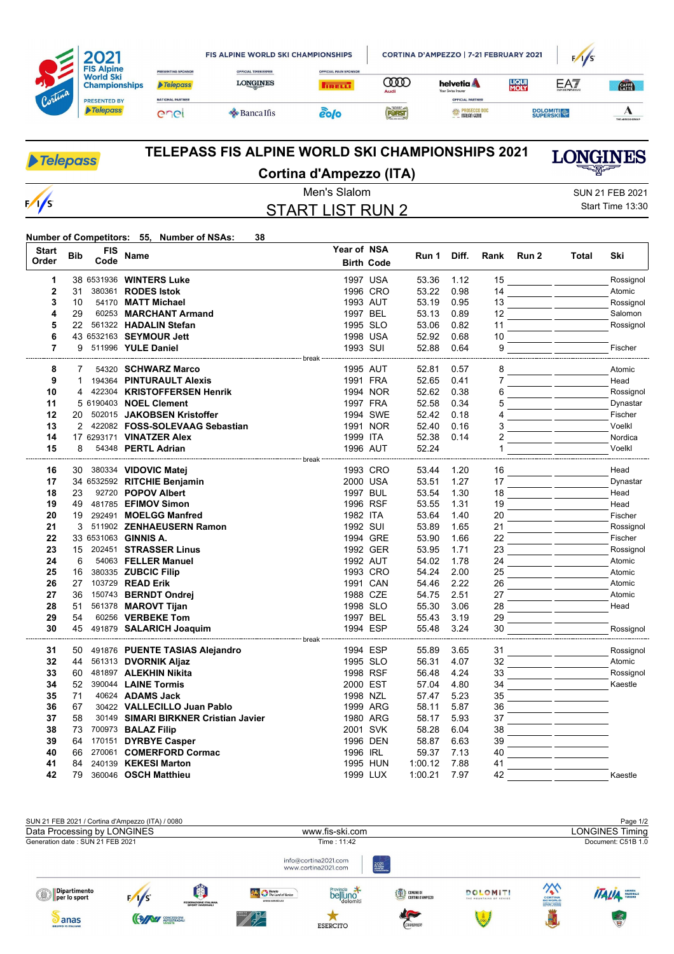|         | <b>FIS Alpine</b><br><b>World Ski</b><br><b>Championships</b> |                                       | <b>FIS ALPINE WORLD SKI CHAMPIONSHIPS</b>     |                                               |                     | CORTINA D'AMPEZZO   7-21 FEBRUARY 2021                                     | F/I/S                |                             |                  |
|---------|---------------------------------------------------------------|---------------------------------------|-----------------------------------------------|-----------------------------------------------|---------------------|----------------------------------------------------------------------------|----------------------|-----------------------------|------------------|
|         |                                                               | PRESENTING SPONSOR<br><b>Telepass</b> | <b>OFFICIAL TIMEKEEPER</b><br><b>LONGINES</b> | <b>OFFICIAL MAIN SPONSOR</b><br><b>IRELLI</b> | <b>COOC</b><br>Audi | helvetia <b>A</b><br>Your Swiss Insurer                                    | <b>LIQUI</b><br>MOLY | EA7<br><b>EMPORK/WARMAN</b> | <b>CATE</b>      |
| Cortina | <b>PRESENTED BY</b><br>Telepass                               | <b>NATIONAL PARTNER</b><br>enei       | <b>Sancalfis</b>                              | 20 O                                          | FORST               | <b>OFFICIAL PARTNER</b><br><b>ESSA PROSECCO DOC</b><br><b>TALIAN GENIO</b> |                      | <b>DOLOMITI</b>             | THE ADECCO GROUP |

| <b>Telepass</b> | <b>TELEPASS FIS ALPINE WORLD SKI CHAMPIONSHIPS 2021</b>                                                                                                                                                                                                                                                  | <b>LONGINES</b><br><u>all Broad</u> |  |
|-----------------|----------------------------------------------------------------------------------------------------------------------------------------------------------------------------------------------------------------------------------------------------------------------------------------------------------|-------------------------------------|--|
|                 | Cortina d'Ampezzo (ITA)                                                                                                                                                                                                                                                                                  |                                     |  |
|                 | Men's Slalom                                                                                                                                                                                                                                                                                             | SUN 21 FEB 2021                     |  |
| $\frac{1}{s}$   | START LIST RUN 2                                                                                                                                                                                                                                                                                         | Start Time 13:30                    |  |
|                 | $\mathbf{N}$ . $\mathbf{N}$ and $\mathbf{N}$ and $\mathbf{N}$ and $\mathbf{N}$ and $\mathbf{N}$ and $\mathbf{N}$ and $\mathbf{N}$ and $\mathbf{N}$ and $\mathbf{N}$ and $\mathbf{N}$ and $\mathbf{N}$ and $\mathbf{N}$ and $\mathbf{N}$ and $\mathbf{N}$ and $\mathbf{N}$ and $\mathbf{N}$ and $\$<br>00 |                                     |  |

## **Number of Competitors: 55, Number of NSAs: 38**

| <b>Start</b><br>Order | <b>Bib</b> | FIS<br>Code | Name                                      | Year of NSA | <b>Birth Code</b> | Run 1          | Diff.        | Rank     | Run 2 | Total                        | Ski              |
|-----------------------|------------|-------------|-------------------------------------------|-------------|-------------------|----------------|--------------|----------|-------|------------------------------|------------------|
| 1                     |            |             | 38 6531936 WINTERS Luke                   |             | 1997 USA          | 53.36          | 1.12         | 15       |       |                              | Rossignol        |
| $\overline{2}$        | 31         |             | 380361 RODES Istok                        |             | 1996 CRO          | 53.22          | 0.98         | 14       |       |                              | Atomic           |
| 3                     | 10         |             | 54170 MATT Michael                        |             | 1993 AUT          | 53.19          | 0.95         | 13       |       |                              | Rossignol        |
| 4                     | 29         |             | 60253 MARCHANT Armand                     | 1997 BEL    |                   | 53.13          | 0.89         | 12       |       |                              | Salomon          |
| 5                     | 22         |             | 561322 HADALIN Stefan                     |             | 1995 SLO          | 53.06          | 0.82         | 11       |       |                              | Rossignol        |
| 6                     |            |             | 43 6532163 SEYMOUR Jett                   |             | 1998 USA          | 52.92          | 0.68         | 10       |       |                              |                  |
| $\overline{7}$        |            |             | 9 511996 YULE Daniel                      | 1993 SUI    |                   | 52.88          | 0.64         | 9        |       |                              | Fischer          |
|                       |            |             |                                           |             |                   |                |              |          |       |                              |                  |
| 8                     | 7          |             | 54320 SCHWARZ Marco                       |             | 1995 AUT          | 52.81          | 0.57         | 8        |       |                              | Atomic           |
| 9                     | 1          |             | 194364 PINTURAULT Alexis                  |             | 1991 FRA          | 52.65          | 0.41         | 7        |       |                              | Head             |
| 10                    | 4          |             | 422304 KRISTOFFERSEN Henrik               |             | 1994 NOR          | 52.62          | 0.38         | 6        |       |                              | Rossignol        |
| 11                    |            |             | 5 6190403 NOEL Clement                    |             | 1997 FRA          | 52.58          | 0.34         | 5        |       |                              | Dynastar         |
| 12                    | 20         |             | 502015 JAKOBSEN Kristoffer                |             | 1994 SWE          | 52.42          | 0.18         | 4        |       |                              | Fischer          |
| 13                    | 2          |             | 422082 FOSS-SOLEVAAG Sebastian            |             | 1991 NOR          | 52.40          | 0.16         | 3        |       |                              | Voelkl           |
| 14                    |            |             | 17 6293171 VINATZER Alex                  | 1999 ITA    |                   | 52.38          | 0.14         | 2        |       |                              | Nordica          |
| 15                    | 8          |             | 54348 PERTL Adrian                        |             | 1996 AUT          | 52.24          |              |          |       |                              | Voelkl           |
|                       |            |             |                                           |             |                   |                |              |          |       |                              |                  |
| 16                    | 30 -       |             | 380334 VIDOVIC Matej                      |             | 1993 CRO          | 53.44          | 1.20         | 16       |       |                              | Head             |
| 17                    |            |             | 34 6532592 RITCHIE Benjamin               |             | 2000 USA          | 53.51          | 1.27         | 17       |       |                              | Dynastar<br>Head |
| 18<br>19              | 23<br>49   |             | 92720 POPOV Albert<br>481785 EFIMOV Simon |             | 1997 BUL          | 53.54          | 1.30         | 18       |       |                              | Head             |
| 20                    | 19         |             | 292491 MOELGG Manfred                     | 1982 ITA    | 1996 RSF          | 53.55<br>53.64 | 1.31<br>1.40 | 19<br>20 |       |                              | Fischer          |
| 21                    | 3          |             | 511902 ZENHAEUSERN Ramon                  | 1992 SUI    |                   | 53.89          | 1.65         | 21       |       |                              | Rossignol        |
| 22                    |            |             | 33 6531063 GINNIS A.                      |             | 1994 GRE          | 53.90          | 1.66         | 22       |       |                              | Fischer          |
| 23                    | 15         |             | 202451 STRASSER Linus                     |             | 1992 GER          | 53.95          | 1.71         | 23       |       |                              | Rossignol        |
| 24                    | 6          |             | 54063 FELLER Manuel                       |             | 1992 AUT          | 54.02          | 1.78         | 24       |       |                              | Atomic           |
| 25                    | 16         |             | 380335 ZUBCIC Filip                       |             | 1993 CRO          | 54.24          | 2.00         | 25       |       |                              | Atomic           |
| 26                    | 27         |             | 103729 READ Erik                          |             | 1991 CAN          | 54.46          | 2.22         | 26       |       |                              | Atomic           |
| 27                    | 36         |             | 150743 BERNDT Ondrei                      |             | 1988 CZE          | 54.75          | 2.51         | 27       |       |                              | Atomic           |
| 28                    | 51         |             | 561378 MAROVT Tijan                       |             | 1998 SLO          | 55.30          | 3.06         | 28       |       |                              | Head             |
| 29                    | 54         |             | 60256 VERBEKE Tom                         |             | 1997 BEL          | 55.43          | 3.19         | 29       |       |                              |                  |
| 30                    |            |             | 45 491879 SALARICH Joaquim                |             | 1994 ESP          | 55.48          | 3.24         | 30       |       |                              | Rossignol        |
|                       |            |             |                                           |             |                   |                |              |          |       |                              |                  |
| 31                    | 50         |             | 491876 PUENTE TASIAS Alejandro            |             | 1994 ESP          | 55.89          | 3.65         | 31       |       |                              | Rossignol        |
| 32                    | 44         |             | 561313 DVORNIK Aljaz                      |             | 1995 SLO          | 56.31          | 4.07         | 32       |       |                              | Atomic           |
| 33                    | 60         |             | 481897 ALEKHIN Nikita                     |             | 1998 RSF          | 56.48          | 4.24         | 33       |       |                              | Rossignol        |
| 34                    | 52         |             | 390044 <b>LAINE Tormis</b>                |             | 2000 EST          | 57.04          | 4.80         | 34       |       |                              | Kaestle          |
| 35                    | 71         |             | 40624 ADAMS Jack                          | 1998 NZL    |                   | 57.47          | 5.23         | 35       |       |                              |                  |
| 36                    | 67         |             | 30422 VALLECILLO Juan Pablo               |             | 1999 ARG          | 58.11          | 5.87         | 36       |       | <u> 1999 - Jan Ja</u>        |                  |
| 37                    | 58         |             | 30149 SIMARI BIRKNER Cristian Javier      |             | 1980 ARG          | 58.17          | 5.93         | 37       |       |                              |                  |
| 38                    | 73         |             | 700973 BALAZ Filip                        |             | 2001 SVK          | 58.28          | 6.04         | 38       |       | <u> 1999 - Jan James Jan</u> |                  |
| 39                    | 64         |             | 170151 DYRBYE Casper                      |             | 1996 DEN          | 58.87          | 6.63         | 39       |       | $\overline{\phantom{a}}$     |                  |
| 40                    | 66         |             | 270061 COMERFORD Cormac                   | 1996 IRL    |                   | 59.37          | 7.13         | 40       |       |                              |                  |
| 41                    | 84         |             | 240139 KEKESI Marton                      |             | 1995 HUN          | 1:00.12        | 7.88         | 41       |       |                              |                  |
| 42                    | 79         |             | 360046 OSCH Matthieu                      |             | 1999 LUX          | 1:00.21        | 7.97         | 42       |       |                              | Kaestle          |